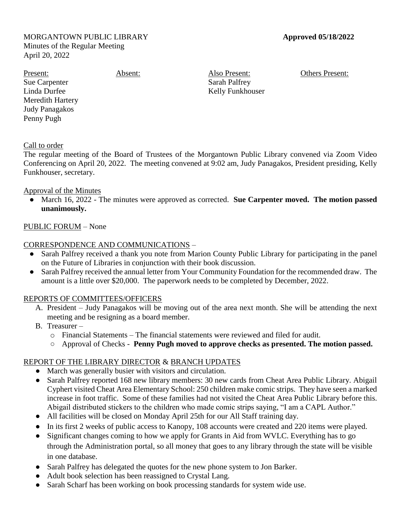### MORGANTOWN PUBLIC LIBRARY **Approved 05/18/2022** Minutes of the Regular Meeting April 20, 2022

Present: Sue Carpenter Linda Durfee Meredith Hartery Judy Panagakos Penny Pugh

Absent: Also Present: Sarah Palfrey Kelly Funkhouser Others Present:

## Call to order

The regular meeting of the Board of Trustees of the Morgantown Public Library convened via Zoom Video Conferencing on April 20, 2022. The meeting convened at 9:02 am, Judy Panagakos, President presiding, Kelly Funkhouser, secretary.

# Approval of the Minutes

● March 16, 2022 - The minutes were approved as corrected. **Sue Carpenter moved. The motion passed unanimously.**

# PUBLIC FORUM – None

# CORRESPONDENCE AND COMMUNICATIONS –

- Sarah Palfrey received a thank you note from Marion County Public Library for participating in the panel on the Future of Libraries in conjunction with their book discussion.
- Sarah Palfrey received the annual letter from Your Community Foundation for the recommended draw. The amount is a little over \$20,000. The paperwork needs to be completed by December, 2022.

## REPORTS OF COMMITTEES/OFFICERS

- A. President Judy Panagakos will be moving out of the area next month. She will be attending the next meeting and be resigning as a board member.
- B. Treasurer
	- o Financial Statements The financial statements were reviewed and filed for audit.
	- Approval of Checks **Penny Pugh moved to approve checks as presented. The motion passed.**

# REPORT OF THE LIBRARY DIRECTOR & BRANCH UPDATES

- March was generally busier with visitors and circulation.
- Sarah Palfrey reported 168 new library members: 30 new cards from Cheat Area Public Library. Abigail Cyphert visited Cheat Area Elementary School: 250 children make comic strips. They have seen a marked increase in foot traffic. Some of these families had not visited the Cheat Area Public Library before this. Abigail distributed stickers to the children who made comic strips saying, "I am a CAPL Author."
- All facilities will be closed on Monday April 25th for our All Staff training day.
- In its first 2 weeks of public access to Kanopy, 108 accounts were created and 220 items were played.
- Significant changes coming to how we apply for Grants in Aid from WVLC. Everything has to go through the Administration portal, so all money that goes to any library through the state will be visible in one database.
- Sarah Palfrey has delegated the quotes for the new phone system to Jon Barker.
- Adult book selection has been reassigned to Crystal Lang.
- Sarah Scharf has been working on book processing standards for system wide use.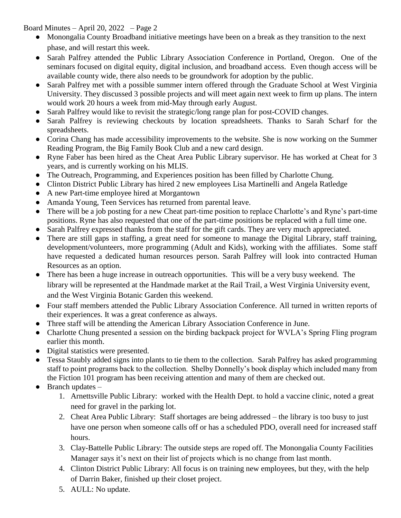Board Minutes – April 20, 2022 – Page 2

- Monongalia County Broadband initiative meetings have been on a break as they transition to the next phase, and will restart this week.
- Sarah Palfrey attended the Public Library Association Conference in Portland, Oregon. One of the seminars focused on digital equity, digital inclusion, and broadband access. Even though access will be available county wide, there also needs to be groundwork for adoption by the public.
- Sarah Palfrey met with a possible summer intern offered through the Graduate School at West Virginia University. They discussed 3 possible projects and will meet again next week to firm up plans. The intern would work 20 hours a week from mid-May through early August.
- Sarah Palfrey would like to revisit the strategic/long range plan for post-COVID changes.
- Sarah Palfrey is reviewing checkouts by location spreadsheets. Thanks to Sarah Scharf for the spreadsheets.
- Corina Chang has made accessibility improvements to the website. She is now working on the Summer Reading Program, the Big Family Book Club and a new card design.
- Ryne Faber has been hired as the Cheat Area Public Library supervisor. He has worked at Cheat for 3 years, and is currently working on his MLIS.
- The Outreach, Programming, and Experiences position has been filled by Charlotte Chung.
- Clinton District Public Library has hired 2 new employees Lisa Martinelli and Angela Ratledge
- A new Part-time employee hired at Morgantown
- Amanda Young, Teen Services has returned from parental leave.
- There will be a job posting for a new Cheat part-time position to replace Charlotte's and Ryne's part-time positions. Ryne has also requested that one of the part-time positions be replaced with a full time one.
- Sarah Palfrey expressed thanks from the staff for the gift cards. They are very much appreciated.
- There are still gaps in staffing, a great need for someone to manage the Digital Library, staff training, development/volunteers, more programming (Adult and Kids), working with the affiliates. Some staff have requested a dedicated human resources person. Sarah Palfrey will look into contracted Human Resources as an option.
- There has been a huge increase in outreach opportunities. This will be a very busy weekend. The library will be represented at the Handmade market at the Rail Trail, a West Virginia University event, and the West Virginia Botanic Garden this weekend.
- Four staff members attended the Public Library Association Conference. All turned in written reports of their experiences. It was a great conference as always.
- Three staff will be attending the American Library Association Conference in June.
- Charlotte Chung presented a session on the birding backpack project for WVLA's Spring Fling program earlier this month.
- Digital statistics were presented.
- Tessa Staubly added signs into plants to tie them to the collection. Sarah Palfrey has asked programming staff to point programs back to the collection. Shelby Donnelly's book display which included many from the Fiction 101 program has been receiving attention and many of them are checked out.
- Branch updates
	- 1. Arnettsville Public Library: worked with the Health Dept. to hold a vaccine clinic, noted a great need for gravel in the parking lot.
	- 2. Cheat Area Public Library: Staff shortages are being addressed the library is too busy to just have one person when someone calls off or has a scheduled PDO, overall need for increased staff hours.
	- 3. Clay-Battelle Public Library: The outside steps are roped off. The Monongalia County Facilities Manager says it's next on their list of projects which is no change from last month.
	- 4. Clinton District Public Library: All focus is on training new employees, but they, with the help of Darrin Baker, finished up their closet project.
	- 5. AULL: No update.